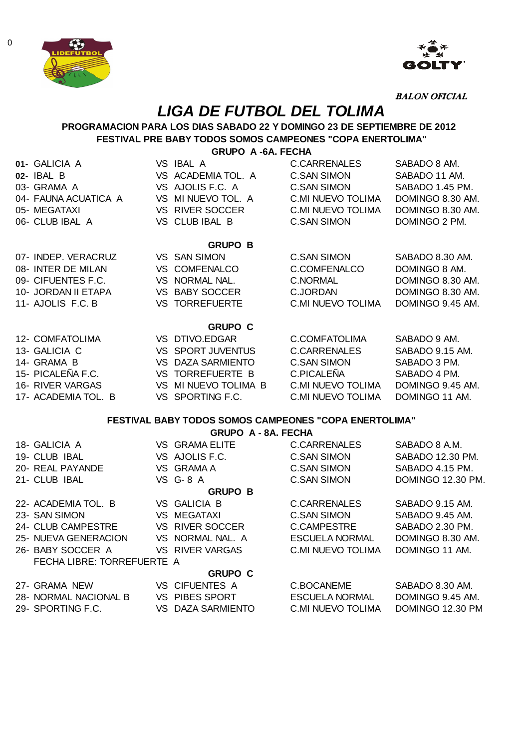



BALON OFICIAL

# **LIGA DE FUTBOL DEL TOLIMA**

## **PROGRAMACION PARA LOS DIAS SABADO 22 Y DOMINGO 23 DE SEPTIEMBRE DE 2012 FESTIVAL PRE BABY TODOS SOMOS CAMPEONES "COPA ENERTOLIMA"**

**GRUPO A -6A. FECHA**

| 01- GALICIA A        | VS IBAL A |                          | <b>C.CARRENALES</b>  | SABADO 8 AM.     |
|----------------------|-----------|--------------------------|----------------------|------------------|
| 02- IBAL B           |           | VS ACADEMIA TOL. A       | C.SAN SIMON          | SABADO 11 AM.    |
| 03- GRAMA A          |           | VS AJOLIS F.C. A         | C.SAN SIMON          | SABADO 1.45 PM.  |
| 04- FAUNA ACUATICA A |           | VS MINUEVO TOL. A        | C.MI NUEVO TOLIMA    | DOMINGO 8.30 AM. |
| 05- MEGATAXI         |           | VS RIVER SOCCER          | C.MI NUEVO TOLIMA    | DOMINGO 8.30 AM. |
| 06- CLUB IBAL A      |           | VS CLUB IBAL B           | C.SAN SIMON          | DOMINGO 2 PM.    |
|                      |           |                          |                      |                  |
|                      |           | <b>GRUPO B</b>           |                      |                  |
| 07- INDEP. VERACRUZ  |           | VS SAN SIMON             | C.SAN SIMON          | SABADO 8.30 AM.  |
| 08- INTER DE MILAN   |           | VS COMFENALCO            | C.COMFENALCO         | DOMINGO 8 AM.    |
| 09- CIFUENTES F.C.   |           | VS NORMAL NAL.           | <b>C.NORMAL</b>      | DOMINGO 8.30 AM. |
| 10- JORDAN II ETAPA  |           | VS BABY SOCCER           | <b>C.JORDAN</b>      | DOMINGO 8.30 AM. |
| 11- AJOLIS F.C. B    |           | VS TORREFUERTE           | C.MI NUEVO TOLIMA    | DOMINGO 9.45 AM. |
|                      |           | <b>GRUPO C</b>           |                      |                  |
| 12- COMFATOLIMA      |           | VS DTIVO.EDGAR           | <b>C.COMFATOLIMA</b> | SABADO 9 AM.     |
|                      |           |                          |                      |                  |
| 13- GALICIA C        |           | <b>VS SPORT JUVENTUS</b> | <b>C.CARRENALES</b>  | SABADO 9.15 AM.  |
| 14- GRAMA B          | VS.       | DAZA SARMIENTO           | C.SAN SIMON          | SABADO 3 PM.     |

| 14- GRAMA B         | VS DAZA SARMIENIU   | U.SAN SIMUN        | SABADU 3 PM.     |
|---------------------|---------------------|--------------------|------------------|
| 15- PICALEÑA F.C.   | VS TORREFUERTE B    | C. PICALENA        | SABADO 4 PM.     |
| 16- RIVER VARGAS    | VS MINUEVO TOLIMA B | IC MI NUEVO TOLIMA | DOMINGO 9.45 AM. |
| 17- ACADEMIA TOL. B | VS SPORTING F.C.    | C MI NUEVO TOLIMA  | DOMINGO 11 AM.   |
|                     |                     |                    |                  |

## **FESTIVAL BABY TODOS SOMOS CAMPEONES "COPA ENERTOLIMA"**

| <b>GRUPO A - 8A, FECHA</b>        |     |                    |                       |                   |  |  |
|-----------------------------------|-----|--------------------|-----------------------|-------------------|--|--|
| 18- GALICIA A                     |     | VS GRAMA ELITE     | C.CARRENALES          | SABADO 8 A.M.     |  |  |
| 19- CLUB IBAL                     |     | VS AJOLIS F.C.     | <b>C.SAN SIMON</b>    | SABADO 12.30 PM.  |  |  |
| 20- REAL PAYANDE                  |     | VS GRAMA A         | C.SAN SIMON           | SABADO 4.15 PM.   |  |  |
| 21- CLUB IBAL                     |     | VS G-8 A           | <b>C.SAN SIMON</b>    | DOMINGO 12.30 PM. |  |  |
|                                   |     | <b>GRUPO B</b>     |                       |                   |  |  |
| 22- ACADEMIA TOL. B               |     | VS GALICIA B       | <b>C.CARRENALES</b>   | SABADO 9.15 AM.   |  |  |
| 23- SAN SIMON                     |     | <b>VS MEGATAXI</b> | C.SAN SIMON           | SABADO 9.45 AM.   |  |  |
| 24- CLUB CAMPESTRE                |     | VS RIVER SOCCER    | C.CAMPESTRE           | SABADO 2.30 PM.   |  |  |
| 25- NUEVA GENERACION              |     | VS NORMAL NAL. A   | <b>ESCUELA NORMAL</b> | DOMINGO 8.30 AM.  |  |  |
| 26- BABY SOCCER A                 |     | VS RIVER VARGAS    | C.MI NUEVO TOLIMA     | DOMINGO 11 AM.    |  |  |
| <b>FECHA LIBRE: TORREFUERTE A</b> |     |                    |                       |                   |  |  |
| <b>GRUPO C</b>                    |     |                    |                       |                   |  |  |
| 27- GRAMA NEW                     |     | VS CIFUENTES A     | C.BOCANEME            | SABADO 8.30 AM.   |  |  |
| 28- NORMAL NACIONAL B             |     | VS PIBES SPORT     | <b>ESCUELA NORMAL</b> | DOMINGO 9.45 AM.  |  |  |
| 29- SPORTING F.C.                 | VS. | DAZA SARMIENTO     | C.MI NUEVO TOLIMA     | DOMINGO 12.30 PM  |  |  |
|                                   |     |                    |                       |                   |  |  |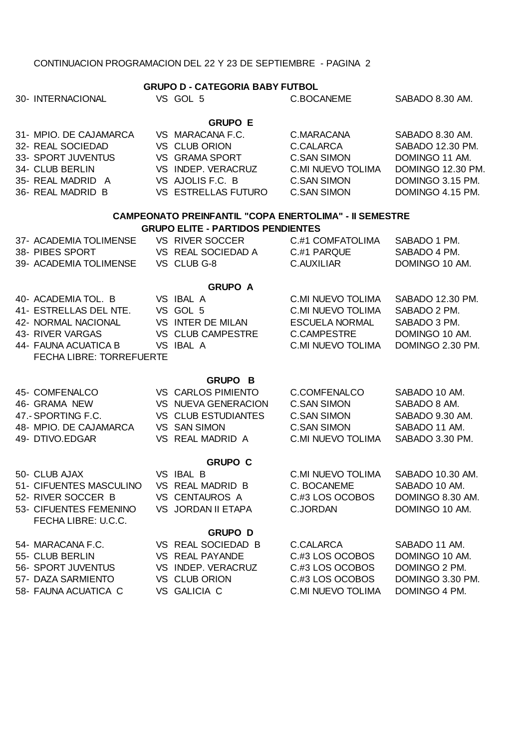## CONTINUACION PROGRAMACION DEL 22 Y 23 DE SEPTIEMBRE - PAGINA 2

| 30- INTERNACIONAL                                                                                                                                             | <b>GRUPO D - CATEGORIA BABY FUTBOL</b><br>VS GOL 5                                                                                            | C.BOCANEME                                                                                                                      | SABADO 8.30 AM.                                                                                                    |
|---------------------------------------------------------------------------------------------------------------------------------------------------------------|-----------------------------------------------------------------------------------------------------------------------------------------------|---------------------------------------------------------------------------------------------------------------------------------|--------------------------------------------------------------------------------------------------------------------|
| 31- MPIO. DE CAJAMARCA<br>32- REAL SOCIEDAD<br>33- SPORT JUVENTUS<br>34- CLUB BERLIN<br>35- REAL MADRID A<br>36- REAL MADRID B                                | <b>GRUPO E</b><br>VS MARACANA F.C.<br>VS CLUB ORION<br>VS GRAMA SPORT<br>VS INDEP. VERACRUZ<br>VS AJOLIS F.C. B<br><b>VS ESTRELLAS FUTURO</b> | C.MARACANA<br>C.CALARCA<br><b>C.SAN SIMON</b><br><b>C.MI NUEVO TOLIMA</b><br><b>C.SAN SIMON</b><br><b>C.SAN SIMON</b>           | SABADO 8.30 AM.<br>SABADO 12.30 PM.<br>DOMINGO 11 AM.<br>DOMINGO 12.30 PM.<br>DOMINGO 3.15 PM.<br>DOMINGO 4.15 PM. |
|                                                                                                                                                               | <b>CAMPEONATO PREINFANTIL "COPA ENERTOLIMA" - II SEMESTRE</b><br><b>GRUPO ELITE - PARTIDOS PENDIENTES</b>                                     |                                                                                                                                 |                                                                                                                    |
| 37- ACADEMIA TOLIMENSE<br>38- PIBES SPORT<br>39- ACADEMIA TOLIMENSE VS CLUB G-8                                                                               | VS RIVER SOCCER<br>VS REAL SOCIEDAD A                                                                                                         | C.#1 COMFATOLIMA<br>C.#1 PARQUE<br>C.AUXILIAR                                                                                   | SABADO 1 PM.<br>SABADO 4 PM.<br>DOMINGO 10 AM.                                                                     |
|                                                                                                                                                               | <b>GRUPO A</b>                                                                                                                                |                                                                                                                                 |                                                                                                                    |
| 40- ACADEMIA TOL. B VS IBAL A<br>41- ESTRELLAS DEL NTE.<br>42- NORMAL NACIONAL<br>43- RIVER VARGAS<br>44- FAUNA ACUATICA B<br><b>FECHA LIBRE: TORREFUERTE</b> | VS GOL 5<br>VS INTER DE MILAN<br>VS CLUB CAMPESTRE<br>VS IBAL A                                                                               | <b>C.MI NUEVO TOLIMA</b><br><b>C.MI NUEVO TOLIMA</b><br><b>ESCUELA NORMAL</b><br><b>C.CAMPESTRE</b><br><b>C.MI NUEVO TOLIMA</b> | SABADO 12.30 PM.<br>SABADO 2 PM.<br>SABADO 3 PM.<br>DOMINGO 10 AM.<br>DOMINGO 2.30 PM.                             |
|                                                                                                                                                               | <b>GRUPO B</b>                                                                                                                                |                                                                                                                                 |                                                                                                                    |
| 45- COMFENALCO<br>46- GRAMA NEW<br>47 - SPORTING F.C.<br>48- MPIO. DE CAJAMARCA<br>49- DTIVO.EDGAR                                                            | VS CARLOS PIMIENTO<br>VS NUEVA GENERACION<br>VS CLUB ESTUDIANTES<br>VS SAN SIMON<br>VS REAL MADRID A                                          | C.COMFENALCO<br><b>C.SAN SIMON</b><br><b>C.SAN SIMON</b><br><b>C.SAN SIMON</b><br>C.MI NUEVO TOLIMA                             | SABADO 10 AM.<br>SABADO 8 AM.<br>SABADO 9.30 AM.<br>SABADO 11 AM.<br>SABADO 3.30 PM.                               |
|                                                                                                                                                               | <b>GRUPO C</b>                                                                                                                                |                                                                                                                                 |                                                                                                                    |
| 50- CLUB AJAX<br>51- CIFUENTES MASCULINO<br>52- RIVER SOCCER B<br>53- CIFUENTES FEMENINO<br>FECHA LIBRE: U.C.C.                                               | VS IBAL B<br>VS REAL MADRID B<br>VS CENTAUROS A<br>VS JORDAN II ETAPA                                                                         | C.MI NUEVO TOLIMA<br>C. BOCANEME<br>C.#3 LOS OCOBOS<br><b>C.JORDAN</b>                                                          | SABADO 10.30 AM.<br>SABADO 10 AM.<br>DOMINGO 8.30 AM.<br>DOMINGO 10 AM.                                            |
| 54- MARACANA F.C.<br>55- CLUB BERLIN<br>56- SPORT JUVENTUS<br>57- DAZA SARMIENTO<br>58- FAUNA ACUATICA C                                                      | <b>GRUPO D</b><br>VS REAL SOCIEDAD B<br>VS REAL PAYANDE<br>VS INDEP. VERACRUZ<br>VS CLUB ORION<br>VS GALICIA C                                | C.CALARCA<br>C.#3 LOS OCOBOS<br>C.#3 LOS OCOBOS<br>C.#3 LOS OCOBOS<br><b>C.MI NUEVO TOLIMA</b>                                  | SABADO 11 AM.<br>DOMINGO 10 AM.<br>DOMINGO 2 PM.<br>DOMINGO 3.30 PM.<br>DOMINGO 4 PM.                              |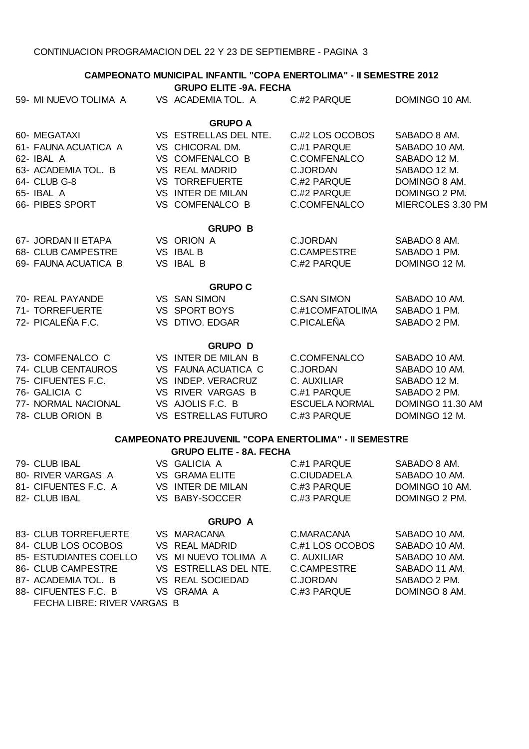**CAMPEONATO MUNICIPAL INFANTIL "COPA ENERTOLIMA" - II SEMESTRE 2012**

| <b>GRUPO ELITE -9A. FECHA</b> |  |                                                              |                       |                   |
|-------------------------------|--|--------------------------------------------------------------|-----------------------|-------------------|
| 59- MI NUEVO TOLIMA A         |  | VS ACADEMIA TOL. A                                           | C #2 PARQUE           | DOMINGO 10 AM.    |
|                               |  | <b>GRUPO A</b>                                               |                       |                   |
| 60- MEGATAXI                  |  | VS ESTRELLAS DEL NTE.                                        | C.#2 LOS OCOBOS       | SABADO 8 AM.      |
| 61- FAUNA ACUATICA A          |  | VS CHICORAL DM.                                              | C.#1 PARQUE           | SABADO 10 AM.     |
| 62- IBAL A                    |  | VS COMFENALCO B                                              | C.COMFENALCO          | SABADO 12 M.      |
| 63- ACADEMIA TOL. B           |  | VS REAL MADRID                                               | <b>C.JORDAN</b>       | SABADO 12 M.      |
| 64- CLUB G-8                  |  | <b>VS TORREFUERTE</b>                                        | C.#2 PARQUE           | DOMINGO 8 AM.     |
| 65- IBAL A                    |  | VS INTER DE MILAN                                            | C.#2 PARQUE           | DOMINGO 2 PM.     |
| 66- PIBES SPORT               |  | VS COMFENALCO B                                              | C.COMFENALCO          | MIERCOLES 3.30 PM |
|                               |  | <b>GRUPO B</b>                                               |                       |                   |
| 67- JORDAN II ETAPA           |  | VS ORION A                                                   | <b>C.JORDAN</b>       | SABADO 8 AM.      |
| 68- CLUB CAMPESTRE            |  | VS IBAL B                                                    | C.CAMPESTRE           | SABADO 1 PM.      |
| 69- FAUNA ACUATICA B          |  | VS IBAL B                                                    | C.#2 PARQUE           | DOMINGO 12 M.     |
|                               |  | <b>GRUPO C</b>                                               |                       |                   |
| 70- REAL PAYANDE              |  | <b>VS SAN SIMON</b>                                          | <b>C.SAN SIMON</b>    | SABADO 10 AM.     |
| 71- TORREFUERTE               |  | VS SPORT BOYS                                                | C.#1COMFATOLIMA       | SABADO 1 PM.      |
| 72- PICALEÑA F.C.             |  | VS DTIVO. EDGAR                                              | C.PICALEÑA            | SABADO 2 PM.      |
|                               |  | <b>GRUPO D</b>                                               |                       |                   |
| 73- COMFENALCO C              |  | VS INTER DE MILAN B                                          | C.COMFENALCO          | SABADO 10 AM.     |
| 74- CLUB CENTAUROS            |  | VS FAUNA ACUATICA C                                          | <b>C.JORDAN</b>       | SABADO 10 AM.     |
| 75- CIFUENTES F.C.            |  | VS INDEP. VERACRUZ                                           | C. AUXILIAR           | SABADO 12 M.      |
| 76- GALICIA C                 |  | VS RIVER VARGAS B                                            | C.#1 PARQUE           | SABADO 2 PM.      |
| 77- NORMAL NACIONAL           |  | VS AJOLIS F.C. B                                             | <b>ESCUELA NORMAL</b> | DOMINGO 11.30 AM  |
| 78- CLUB ORION B              |  | VS ESTRELLAS FUTURO                                          | C.#3 PARQUE           | DOMINGO 12 M.     |
|                               |  | <b>CAMPEONATO PREJUVENIL "COPA ENERTOLIMA" - II SEMESTRE</b> |                       |                   |
|                               |  | <b>GRUPO ELITE - 8A. FECHA</b>                               |                       |                   |
| 79- CLUB IBAL                 |  | VS GALICIA A                                                 | C.#1 PARQUE           | SABADO 8 AM.      |
| 80- RIVER VARGAS A            |  | VS GRAMA ELITE                                               | C.CIUDADELA           | SABADO 10 AM.     |
| 81- CIFUENTES F.C. A          |  | VS INTER DE MILAN                                            | C.#3 PARQUE           | DOMINGO 10 AM.    |
| 82- CLUB IBAL                 |  | VS BABY-SOCCER                                               | C.#3 PARQUE           | DOMINGO 2 PM.     |
|                               |  | <b>GRUPO A</b>                                               |                       |                   |
| 83- CLUB TORREFUERTE          |  | VS MARACANA                                                  | C.MARACANA            | SABADO 10 AM.     |
| 84- CLUB LOS OCOBOS           |  | VS REAL MADRID                                               | C.#1 LOS OCOBOS       | SABADO 10 AM.     |
| 85- ESTUDIANTES COELLO        |  | VS MI NUEVO TOLIMA A                                         | C. AUXILIAR           | SABADO 10 AM.     |
| 86- CLUB CAMPESTRE            |  | VS ESTRELLAS DEL NTE.                                        | <b>C.CAMPESTRE</b>    | SABADO 11 AM.     |
| 87- ACADEMIA TOL. B           |  | VS REAL SOCIEDAD                                             | <b>C.JORDAN</b>       | SABADO 2 PM.      |
| 88- CIFUENTES F.C. B          |  | VS GRAMA A                                                   | C.#3 PARQUE           | DOMINGO 8 AM.     |

FECHA LIBRE: RIVER VARGAS B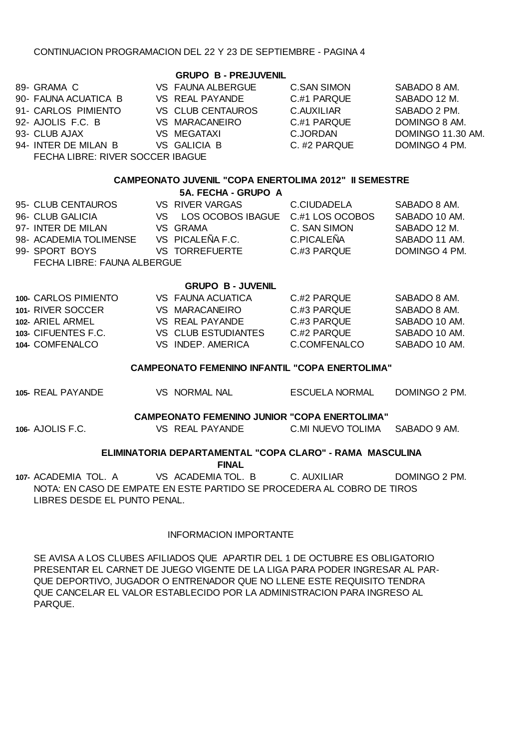## CONTINUACION PROGRAMACION DEL 22 Y 23 DE SEPTIEMBRE - PAGINA 4

| 89- GRAMA C                      | VS FAUNA ALBERGUE | C. SAN SIMON | SABADO 8 AM.      |
|----------------------------------|-------------------|--------------|-------------------|
| 90- FAUNA ACUATICA B             | VS REAL PAYANDE   | C.#1 PARQUE  | SABADO 12 M.      |
| 91- CARLOS PIMIENTO              | VS CLUB CENTAUROS | C.AUXILIAR   | SABADO 2 PM.      |
| 92- AJOLIS F.C. B                | VS MARACANEIRO    | C.#1 PARQUE  | DOMINGO 8 AM.     |
| 93- CLUB AJAX                    | VS MEGATAXI       | C.JORDAN     | DOMINGO 11.30 AM. |
| 94- INTER DE MILAN B             | VS GALICIA B      | C. #2 PARQUE | DOMINGO 4 PM.     |
| FECHA LIBRE: RIVER SOCCER IBAGUE |                   |              |                   |

### **CAMPEONATO JUVENIL "COPA ENERTOLIMA 2012" II SEMESTRE**

#### **5A. FECHA - GRUPO A**

| 95- CLUB CENTAUROS          | VS RIVER VARGAS                      | C.CIUDADELA  | SABADO 8 AM.  |
|-----------------------------|--------------------------------------|--------------|---------------|
| 96- CLUB GALICIA            | VS LOS OCOBOS IBAGUE C.#1 LOS OCOBOS |              | SABADO 10 AM. |
| 97- INTER DE MILAN          | VS GRAMA                             | C. SAN SIMON | SABADO 12 M.  |
| 98- ACADEMIA TOLIMENSE      | VS PICALEÑA F.C.                     | C.PICALEÑA   | SABADO 11 AM. |
| 99- SPORT BOYS              | <b>VS TORREFUERTE</b>                | C #3 PARQUE  | DOMINGO 4 PM. |
| FECHA LIBRE: FAUNA ALBERGUE |                                      |              |               |

#### **GRUPO B - JUVENIL**

| 100- CARLOS PIMIENTO | VS FAUNA ACUATICA   | C #2 PAROUE  | SABADO 8 AM. |
|----------------------|---------------------|--------------|--------------|
| 101- RIVER SOCCER    | VS MARACANEIRO      | C #3 PAROUE  | SABADO 8 AM. |
| 102- ARIFI ARMEI     | VS REAL PAYANDE     | C #3 PAROUE  | SABADO 10 AM |
| 103- CIFUENTES F.C.  | VS CLUB ESTUDIANTES | C #2 PAROUE  | SABADO 10 AM |
| 104- COMFENALCO      | VS INDEP AMERICA    | C.COMFENALCO | SABADO 10 AM |

### **CAMPEONATO FEMENINO INFANTIL "COPA ENERTOLIMA"**

| 105- REAL PAYANDE | VS NORMAL NAL                                       | ESCUELA NORMAL    | DOMINGO 2 PM. |
|-------------------|-----------------------------------------------------|-------------------|---------------|
|                   | <b>CAMPEONATO FEMENINO JUNIOR "COPA ENERTOLIMA"</b> |                   |               |
| 106- AJOLIS F.C.  | VS REAL PAYANDE                                     | C.MI NUEVO TOLIMA | SABADO 9 AM.  |

## **ELIMINATORIA DEPARTAMENTAL "COPA CLARO" - RAMA MASCULINA**

**FINAL**

**107-** ACADEMIA TOL. A VS ACADEMIA TOL. B C. AUXILIAR DOMINGO 2 PM. NOTA: EN CASO DE EMPATE EN ESTE PARTIDO SE PROCEDERA AL COBRO DE TIROS LIBRES DESDE EL PUNTO PENAL.

## INFORMACION IMPORTANTE

SE AVISA A LOS CLUBES AFILIADOS QUE APARTIR DEL 1 DE OCTUBRE ES OBLIGATORIO PRESENTAR EL CARNET DE JUEGO VIGENTE DE LA LIGA PARA PODER INGRESAR AL PAR-QUE DEPORTIVO, JUGADOR O ENTRENADOR QUE NO LLENE ESTE REQUISITO TENDRA QUE CANCELAR EL VALOR ESTABLECIDO POR LA ADMINISTRACION PARA INGRESO AL PARQUE.